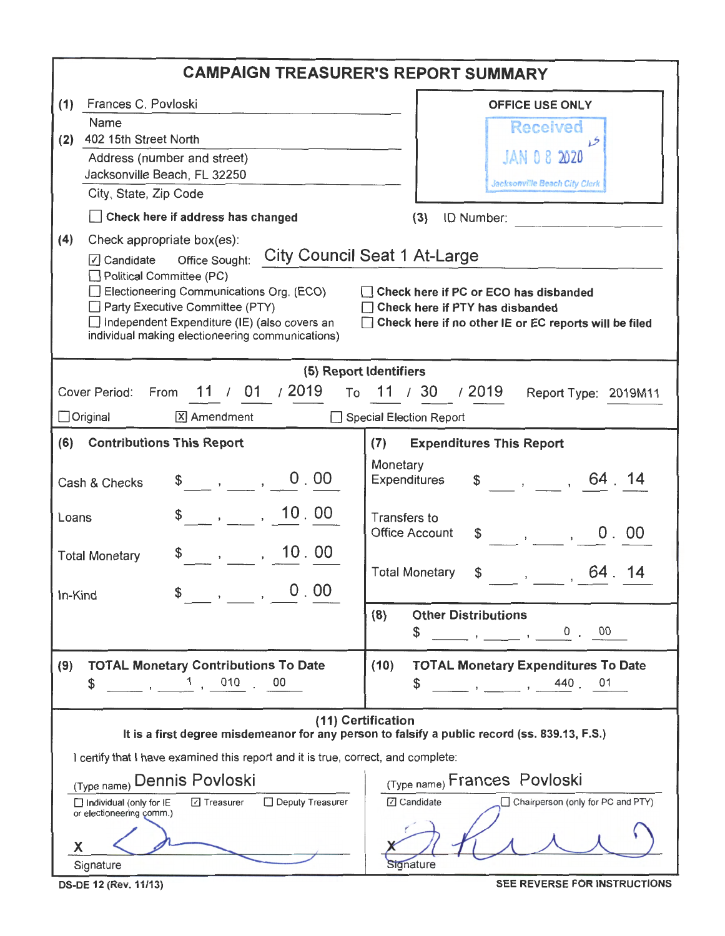|                                                                                                                                                                                                                                                                                                                                                                                                                                                                                                             | <b>CAMPAIGN TREASURER'S REPORT SUMMARY</b>                                                                                                                                                                                                                                                                                                                                                                                                                                                              |
|-------------------------------------------------------------------------------------------------------------------------------------------------------------------------------------------------------------------------------------------------------------------------------------------------------------------------------------------------------------------------------------------------------------------------------------------------------------------------------------------------------------|---------------------------------------------------------------------------------------------------------------------------------------------------------------------------------------------------------------------------------------------------------------------------------------------------------------------------------------------------------------------------------------------------------------------------------------------------------------------------------------------------------|
| Frances C. Povloski<br>(1)<br>Name<br>402 15th Street North<br>(2)<br>Address (number and street)<br>Jacksonville Beach, FL 32250<br>City, State, Zip Code<br>Check here if address has changed<br>(4)<br>Check appropriate box(es):<br>Office Sought:<br>$\sqrt{ }$ Candidate<br>$\Box$ Political Committee (PC)<br>Electioneering Communications Org. (ECO)<br>Party Executive Committee (PTY)<br>$\Box$ Independent Expenditure (IE) (also covers an<br>individual making electioneering communications) | <b>OFFICE USE ONLY</b><br><b>Received</b><br>JAN 0 8 2020<br>Jacksonville Beach City Clerk<br>(3)<br>ID Number:<br>City Council Seat 1 At-Large<br>Check here if PC or ECO has disbanded<br>Check here if PTY has disbanded<br>□ Check here if no other IE or EC reports will be filed                                                                                                                                                                                                                  |
| 11 / 01 / 2019<br>Cover Period:<br>From<br>X Amendment<br>Original<br><b>Contributions This Report</b><br>(6)<br>0.00<br>$\begin{array}{ccccccc}\n\text{\$} & & , & & ,\n\end{array}$<br>Cash & Checks<br>$\sim$ , , 10.00<br>Loans<br>, , 10.00<br><b>Total Monetary</b><br>0.00<br>$\overline{\phantom{a}}$<br>In-Kind                                                                                                                                                                                    | (5) Report Identifiers<br>To 11 / 30 / 2019<br>Report Type: 2019M11<br>Special Election Report<br><b>Expenditures This Report</b><br>(7)<br>Monetary<br>$\frac{1}{2}$ , , 64 14<br>Expenditures<br><b>Transfers to</b><br>Office Account<br>0.00<br>$\begin{array}{ccc} \text{\$} & \text{\$} & \text{\$} \end{array}$<br><b>Total Monetary</b><br>\$<br>64.14<br>$\mathbf{r}$<br>(8)<br><b>Other Distributions</b><br>$\cdots$ , $\cdots$ , $\cdots$ , $\cdots$ , $\cdots$ , $\cdots$ , $\cdots$<br>\$ |
| <b>TOTAL Monetary Contributions To Date</b><br>(9)<br>1, 010, 00<br>\$<br>$\overline{\phantom{a}}$<br>I certify that I have examined this report and it is true, correct, and complete:<br>(Type name) Dennis Povloski<br>Deputy Treasurer<br>Individual (only for IE<br><b>⊡</b> Treasurer<br>or electioneering comm.)<br>X<br>Signature                                                                                                                                                                   | <b>TOTAL Monetary Expenditures To Date</b><br>(10)<br>$, \qquad , \qquad 440 \qquad 01$<br>\$<br>(11) Certification<br>It is a first degree misdemeanor for any person to falsify a public record (ss. 839.13, F.S.)<br>(Type name) Frances Povloski<br>☑ Candidate<br>□ Chairperson (only for PC and PTY)<br>Signature                                                                                                                                                                                 |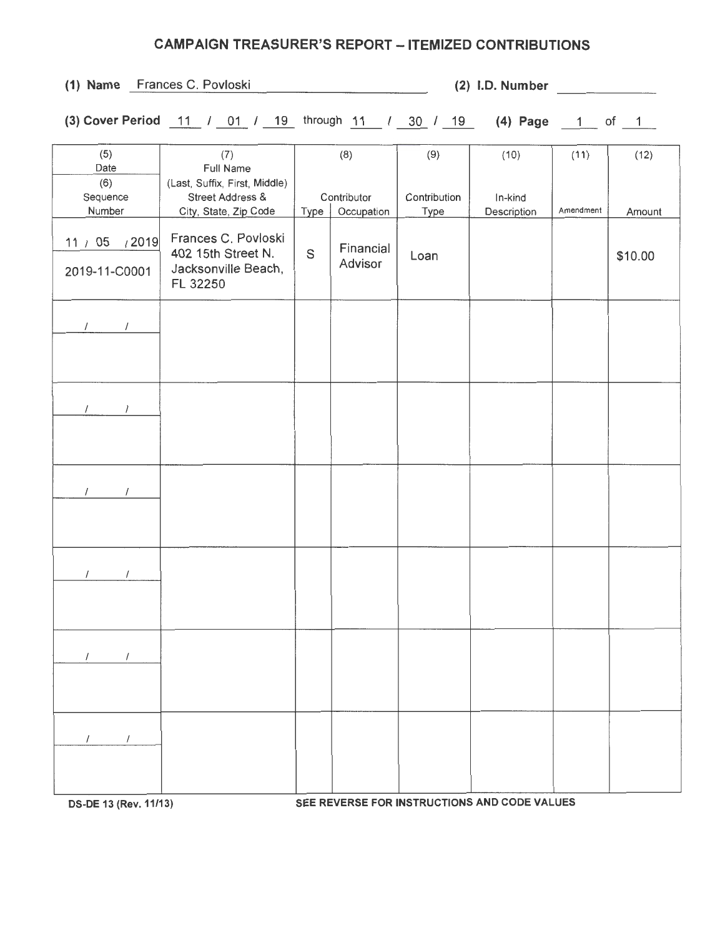## CAMPAIGN TREASURER'S REPORT - ITEMIZED CONTRIBUTIONS

| (1) Name Frances C. Povloski              |                                                                                                                                                                    |           |                                    |                     | (2) I.D. Number                              |           |                   |
|-------------------------------------------|--------------------------------------------------------------------------------------------------------------------------------------------------------------------|-----------|------------------------------------|---------------------|----------------------------------------------|-----------|-------------------|
|                                           | (3) Cover Period $\frac{11}{1}$ / $\frac{01}{1}$ / $\frac{19}{1}$ through $\frac{11}{1}$ / $\frac{30}{1}$ / $\frac{19}{1}$ (4) Page $\frac{1}{1}$ of $\frac{1}{1}$ |           |                                    |                     |                                              |           |                   |
| (5)<br>Date<br>(6)<br>Sequence            | (7)<br>Full Name<br>(Last, Suffix, First, Middle)<br>Street Address &                                                                                              |           | (8)<br>Contributor                 | (9)<br>Contribution | (10)<br>In-kind                              | (11)      | (12)              |
| Number<br>11 / 05 / 2019<br>2019-11-C0001 | City, State, Zip Code<br>Frances C. Povloski<br>402 15th Street N.<br>Jacksonville Beach,<br>FL 32250                                                              | Type<br>S | Occupation<br>Financial<br>Advisor | Type<br>Loan        | Description                                  | Amendment | Amount<br>\$10.00 |
| $\sqrt{2}$                                |                                                                                                                                                                    |           |                                    |                     |                                              |           |                   |
| $\sqrt{1}$                                |                                                                                                                                                                    |           |                                    |                     |                                              |           |                   |
| $\sqrt{2}$                                |                                                                                                                                                                    |           |                                    |                     |                                              |           |                   |
|                                           |                                                                                                                                                                    |           |                                    |                     |                                              |           |                   |
|                                           |                                                                                                                                                                    |           |                                    |                     |                                              |           |                   |
|                                           |                                                                                                                                                                    |           |                                    |                     |                                              |           |                   |
| DS-DE 13 (Rev. 11/13)                     |                                                                                                                                                                    |           |                                    |                     | SEE REVERSE FOR INSTRUCTIONS AND CODE VALUES |           |                   |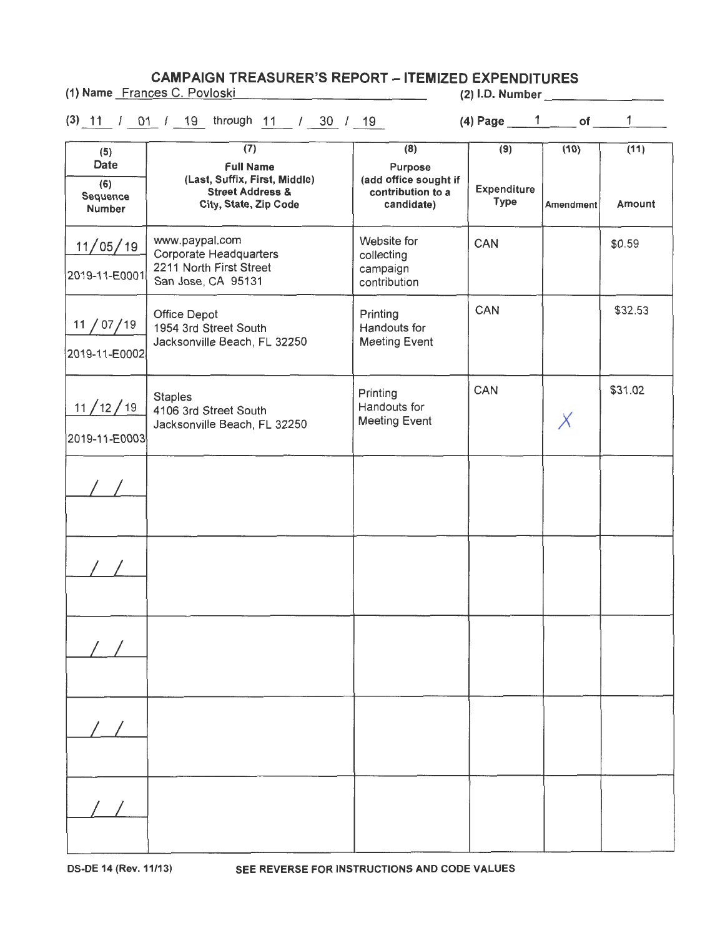**CAMPAIGN TREASURER'S REPORT - ITEMIZED EXPENDITURES** 

(1) Name Frances C. Povloski (2) 1.0. Number 2011

|                                                 | (3) 11 / 01 / 19 through 11 / 30 / 19                                                                                         |                                                                                         | (4) Page $1$ of $1$                      |                   | $\mathbf{1}$   |
|-------------------------------------------------|-------------------------------------------------------------------------------------------------------------------------------|-----------------------------------------------------------------------------------------|------------------------------------------|-------------------|----------------|
| (5)<br>Date<br>(6)<br>Sequence<br><b>Number</b> | $\overline{(7)}$<br><b>Full Name</b><br>(Last, Suffix, First, Middle)<br><b>Street Address &amp;</b><br>City, State, Zip Code | $\overline{(8)}$<br>Purpose<br>(add office sought if<br>contribution to a<br>candidate) | (9)<br><b>Expenditure</b><br><b>Type</b> | (10)<br>Amendment | (11)<br>Amount |
| 11/05/19<br>2019-11-E0001                       | www.paypal.com<br><b>Corporate Headquarters</b><br>2211 North First Street<br>San Jose, CA 95131                              | Website for<br>collecting<br>campaign<br>contribution                                   | CAN                                      |                   | \$0.59         |
| 11 / 07 / 19<br>2019-11-E0002                   | Office Depot<br>1954 3rd Street South<br>Jacksonville Beach, FL 32250                                                         | Printing<br>Handouts for<br><b>Meeting Event</b>                                        | CAN                                      |                   | \$32.53        |
| 11/12/19<br>2019-11-E0003                       | <b>Staples</b><br>4106 3rd Street South<br>Jacksonville Beach, FL 32250                                                       | Printing<br>Handouts for<br>Meeting Event                                               | CAN                                      |                   | \$31.02        |
|                                                 |                                                                                                                               |                                                                                         |                                          |                   |                |
|                                                 |                                                                                                                               |                                                                                         |                                          |                   |                |
|                                                 |                                                                                                                               |                                                                                         |                                          |                   |                |
|                                                 |                                                                                                                               |                                                                                         |                                          |                   |                |
|                                                 |                                                                                                                               |                                                                                         |                                          |                   |                |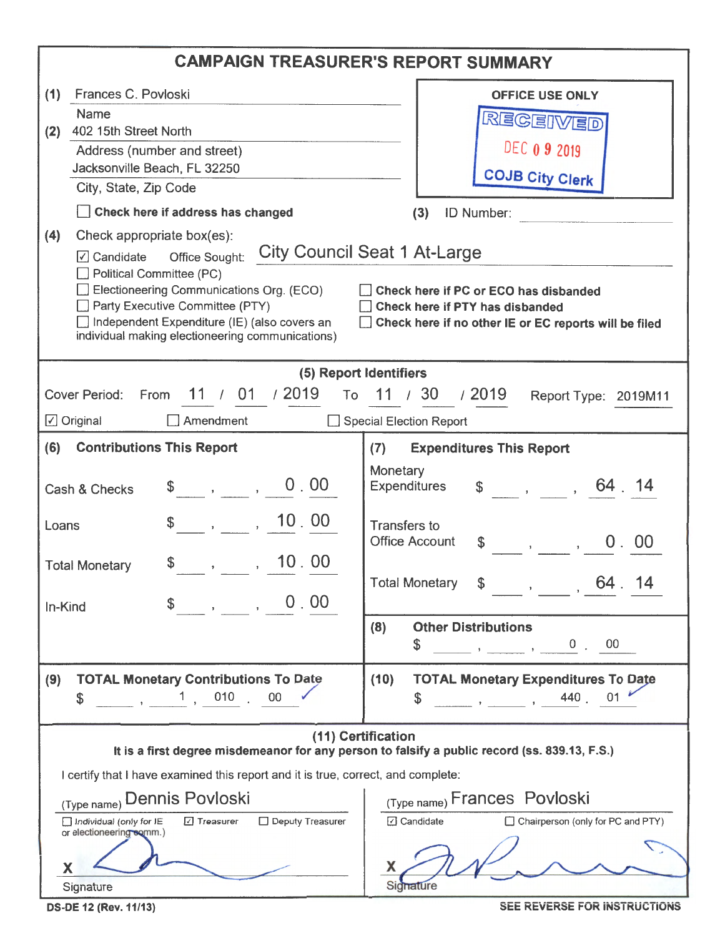|                                                                                                                                                                                                                                                                                                                                                                                                                                                                               | <b>CAMPAIGN TREASURER'S REPORT SUMMARY</b>                                                                          |  |  |  |  |  |  |
|-------------------------------------------------------------------------------------------------------------------------------------------------------------------------------------------------------------------------------------------------------------------------------------------------------------------------------------------------------------------------------------------------------------------------------------------------------------------------------|---------------------------------------------------------------------------------------------------------------------|--|--|--|--|--|--|
| Frances C. Povloski<br>(1)                                                                                                                                                                                                                                                                                                                                                                                                                                                    | <b>OFFICE USE ONLY</b>                                                                                              |  |  |  |  |  |  |
| Name<br>REGEIVED                                                                                                                                                                                                                                                                                                                                                                                                                                                              |                                                                                                                     |  |  |  |  |  |  |
| 402 15th Street North<br>(2)                                                                                                                                                                                                                                                                                                                                                                                                                                                  | <b>DEC 0 9 2019</b>                                                                                                 |  |  |  |  |  |  |
| Address (number and street)<br>Jacksonville Beach, FL 32250                                                                                                                                                                                                                                                                                                                                                                                                                   |                                                                                                                     |  |  |  |  |  |  |
| City, State, Zip Code                                                                                                                                                                                                                                                                                                                                                                                                                                                         | <b>COJB City Clerk</b>                                                                                              |  |  |  |  |  |  |
| Check here if address has changed                                                                                                                                                                                                                                                                                                                                                                                                                                             | (3)<br><b>ID Number:</b>                                                                                            |  |  |  |  |  |  |
| (4)<br>Check appropriate box(es):<br><b>City Council Seat 1 At-Large</b><br>$\sqrt{ }$ Candidate<br>Office Sought:<br>Political Committee (PC)<br>Electioneering Communications Org. (ECO)<br>Check here if PC or ECO has disbanded<br>Party Executive Committee (PTY)<br>Check here if PTY has disbanded<br>$\Box$ Independent Expenditure (IE) (also covers an<br>Check here if no other IE or EC reports will be filed<br>individual making electioneering communications) |                                                                                                                     |  |  |  |  |  |  |
|                                                                                                                                                                                                                                                                                                                                                                                                                                                                               | (5) Report Identifiers                                                                                              |  |  |  |  |  |  |
| 11 / 01 / 2019<br>Cover Period: From                                                                                                                                                                                                                                                                                                                                                                                                                                          | To 11 / 30 / 2019<br>Report Type: 2019M11                                                                           |  |  |  |  |  |  |
| $\boxed{\angle}$ Original<br>$\Box$ Amendment                                                                                                                                                                                                                                                                                                                                                                                                                                 | Special Election Report                                                                                             |  |  |  |  |  |  |
| (6)<br><b>Contributions This Report</b>                                                                                                                                                                                                                                                                                                                                                                                                                                       | (7)<br><b>Expenditures This Report</b>                                                                              |  |  |  |  |  |  |
| 0.00<br>Cash & Checks                                                                                                                                                                                                                                                                                                                                                                                                                                                         | Monetary<br>$\frac{1}{2}$ , , 64 14<br><b>Expenditures</b>                                                          |  |  |  |  |  |  |
| $\frac{1}{2}$ , , 10.00<br>Loans                                                                                                                                                                                                                                                                                                                                                                                                                                              | <b>Transfers to</b><br><b>Office Account</b><br>00<br>0 <sub>1</sub><br>$\mathbb{S}$<br>$\mathbf{y} = \mathbf{y}$   |  |  |  |  |  |  |
| $\sim$ , , , , , , , 00<br>\$<br><b>Total Monetary</b>                                                                                                                                                                                                                                                                                                                                                                                                                        | Total Monetary<br>64.                                                                                               |  |  |  |  |  |  |
| $\sim$ , , , , , , 0 , 00<br>$\mathcal{L}$<br>In-Kind                                                                                                                                                                                                                                                                                                                                                                                                                         | <b>Other Distributions</b><br>(8)<br>\$                                                                             |  |  |  |  |  |  |
| <b>TOTAL Monetary Contributions To Date</b><br>(9)<br>010<br>00 <sub>o</sub><br>\$                                                                                                                                                                                                                                                                                                                                                                                            | <b>TOTAL Monetary Expenditures To Date</b><br>(10)<br>440<br>01<br>S                                                |  |  |  |  |  |  |
|                                                                                                                                                                                                                                                                                                                                                                                                                                                                               | (11) Certification<br>It is a first degree misdemeanor for any person to falsify a public record (ss. 839.13, F.S.) |  |  |  |  |  |  |
| I certify that I have examined this report and it is true, correct, and complete:                                                                                                                                                                                                                                                                                                                                                                                             |                                                                                                                     |  |  |  |  |  |  |
| (Type name) Dennis Povloski                                                                                                                                                                                                                                                                                                                                                                                                                                                   | (Type name) Frances Povloski                                                                                        |  |  |  |  |  |  |
| □ Deputy Treasurer<br>Individual (only for IE<br>□ Treasurer<br>or electioneering somm.)                                                                                                                                                                                                                                                                                                                                                                                      | □ Candidate<br>□ Chairperson (only for PC and PTY)                                                                  |  |  |  |  |  |  |
| Χ                                                                                                                                                                                                                                                                                                                                                                                                                                                                             | х                                                                                                                   |  |  |  |  |  |  |
| Signature                                                                                                                                                                                                                                                                                                                                                                                                                                                                     | Signature                                                                                                           |  |  |  |  |  |  |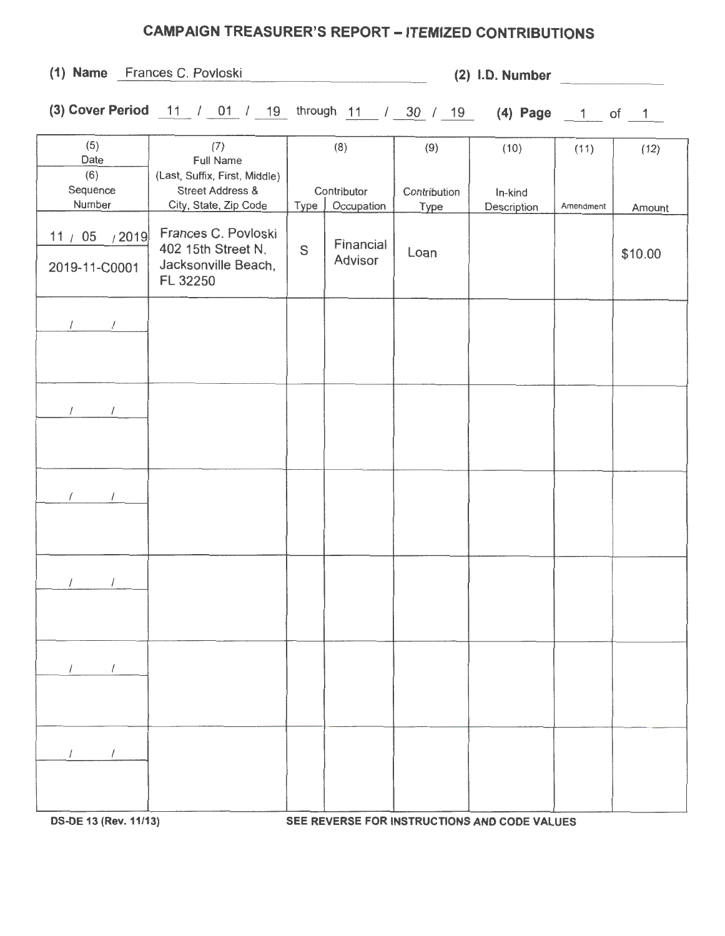## **CAMPAIGN TREASURER'S REPORT-ITEMIZED CONTRIBUTIONS**

**(1) Name** Frances C. Povloski **(2) 1.0. Number** 

**(3) Cover Period** 11 / 01 / 19 through 11 / 30 / 19 **(4) Page** 1 of 1

| (5)             | (7)                           |             | (8)         | (9)          | (10)        | (11)      | (12)    |
|-----------------|-------------------------------|-------------|-------------|--------------|-------------|-----------|---------|
| Date            | <b>Full Name</b>              |             |             |              |             |           |         |
| (6)             | (Last, Suffix, First, Middle) |             |             |              |             |           |         |
| Sequence        | <b>Street Address &amp;</b>   |             | Contributor | Contribution | In-kind     |           |         |
| Number          | City, State, Zip Code         | Type        | Occupation  | Type         | Description | Amendment | Amount  |
|                 | Frances C. Povloski           |             |             |              |             |           |         |
| 11 / 05 $/2019$ | 402 15th Street N.            | $\mathbb S$ | Financial   |              |             |           |         |
|                 | Jacksonville Beach,           |             | Advisor     | Loan         |             |           | \$10.00 |
| 2019-11-C0001   | FL 32250                      |             |             |              |             |           |         |
|                 |                               |             |             |              |             |           |         |
|                 |                               |             |             |              |             |           |         |
| $\sqrt{2}$      |                               |             |             |              |             |           |         |
|                 |                               |             |             |              |             |           |         |
|                 |                               |             |             |              |             |           |         |
|                 |                               |             |             |              |             |           |         |
|                 |                               |             |             |              |             |           |         |
| $\prime$        |                               |             |             |              |             |           |         |
|                 |                               |             |             |              |             |           |         |
|                 |                               |             |             |              |             |           |         |
|                 |                               |             |             |              |             |           |         |
|                 |                               |             |             |              |             |           |         |
|                 |                               |             |             |              |             |           |         |
| $\sqrt{ }$      |                               |             |             |              |             |           |         |
|                 |                               |             |             |              |             |           |         |
|                 |                               |             |             |              |             |           |         |
|                 |                               |             |             |              |             |           |         |
|                 |                               |             |             |              |             |           |         |
| $\prime$        |                               |             |             |              |             |           |         |
|                 |                               |             |             |              |             |           |         |
|                 |                               |             |             |              |             |           |         |
|                 |                               |             |             |              |             |           |         |
|                 |                               |             |             |              |             |           |         |
|                 |                               |             |             |              |             |           |         |
|                 |                               |             |             |              |             |           |         |
|                 |                               |             |             |              |             |           |         |
|                 |                               |             |             |              |             |           |         |
|                 |                               |             |             |              |             |           |         |
| $\prime$        |                               |             |             |              |             |           |         |
|                 |                               |             |             |              |             |           |         |
|                 |                               |             |             |              |             |           |         |
|                 |                               |             |             |              |             |           |         |
|                 |                               |             |             |              |             |           |         |

**OS-DE 13 (Rev.11/13) SEE REVERSE FOR INSTRUCTIONS AND CODE VALUES**